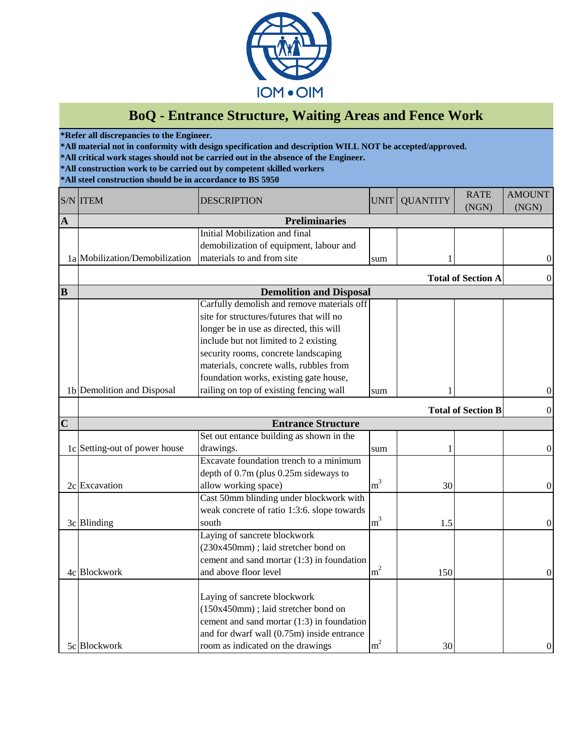

## **BoQ - Entrance Structure, Waiting Areas and Fence Work**

**\*Refer all discrepancies to the Engineer.**

**\*All material not in conformity with design specification and description WILL NOT be accepted/approved.**

**\*All critical work stages should not be carried out in the absence of the Engineer.**

**\*All construction work to be carried out by competent skilled workers**

**\*All steel construction should be in accordance to BS 5950**

|                | <b>S/N ITEM</b>                | <b>DESCRIPTION</b>                           | <b>UNIT</b>    | <b>QUANTITY</b> | <b>RATE</b><br>(NGN)      | <b>AMOUNT</b><br>(NGN) |
|----------------|--------------------------------|----------------------------------------------|----------------|-----------------|---------------------------|------------------------|
| $\mathbf A$    | <b>Preliminaries</b>           |                                              |                |                 |                           |                        |
|                |                                | <b>Initial Mobilization and final</b>        |                |                 |                           |                        |
|                |                                | demobilization of equipment, labour and      |                |                 |                           |                        |
|                | 1a Mobilization/Demobilization | materials to and from site                   | sum            |                 |                           | $\mathbf{0}$           |
|                |                                |                                              |                |                 | <b>Total of Section A</b> | $\boldsymbol{0}$       |
| B              |                                | <b>Demolition and Disposal</b>               |                |                 |                           |                        |
|                |                                | Carfully demolish and remove materials off   |                |                 |                           |                        |
|                |                                | site for structures/futures that will no     |                |                 |                           |                        |
|                |                                | longer be in use as directed, this will      |                |                 |                           |                        |
|                |                                | include but not limited to 2 existing        |                |                 |                           |                        |
|                |                                | security rooms, concrete landscaping         |                |                 |                           |                        |
|                |                                | materials, concrete walls, rubbles from      |                |                 |                           |                        |
|                |                                | foundation works, existing gate house,       |                |                 |                           |                        |
|                | 1b Demolition and Disposal     | railing on top of existing fencing wall      | sum            |                 |                           | $\mathbf{0}$           |
|                |                                |                                              |                |                 | <b>Total of Section B</b> | $\boldsymbol{0}$       |
| $\overline{C}$ |                                | <b>Entrance Structure</b>                    |                |                 |                           |                        |
|                |                                | Set out entance building as shown in the     |                |                 |                           |                        |
|                | 1c Setting-out of power house  | drawings.                                    | sum            |                 |                           | $\boldsymbol{0}$       |
|                |                                | Excavate foundation trench to a minimum      |                |                 |                           |                        |
|                |                                | depth of 0.7m (plus 0.25m sideways to        |                |                 |                           |                        |
|                | 2c Excavation                  | allow working space)                         | m <sup>3</sup> | 30              |                           | $\boldsymbol{0}$       |
|                |                                | Cast 50mm blinding under blockwork with      |                |                 |                           |                        |
|                |                                | weak concrete of ratio 1:3:6. slope towards  |                |                 |                           |                        |
|                | 3c Blinding                    | south                                        | m <sup>3</sup> | 1.5             |                           | $\mathbf{0}$           |
|                |                                | Laying of sancrete blockwork                 |                |                 |                           |                        |
|                |                                | (230x450mm); laid stretcher bond on          |                |                 |                           |                        |
|                |                                | cement and sand mortar (1:3) in foundation   |                |                 |                           |                        |
|                | 4c Blockwork                   | and above floor level                        | m <sup>2</sup> | 150             |                           | $\mathbf{0}$           |
|                |                                |                                              |                |                 |                           |                        |
|                |                                | Laying of sancrete blockwork                 |                |                 |                           |                        |
|                |                                | (150x450mm); laid stretcher bond on          |                |                 |                           |                        |
|                |                                | cement and sand mortar $(1:3)$ in foundation |                |                 |                           |                        |
|                |                                | and for dwarf wall (0.75m) inside entrance   |                |                 |                           |                        |
|                | 5c Blockwork                   | room as indicated on the drawings            | m <sup>2</sup> | 30              |                           | $\boldsymbol{0}$       |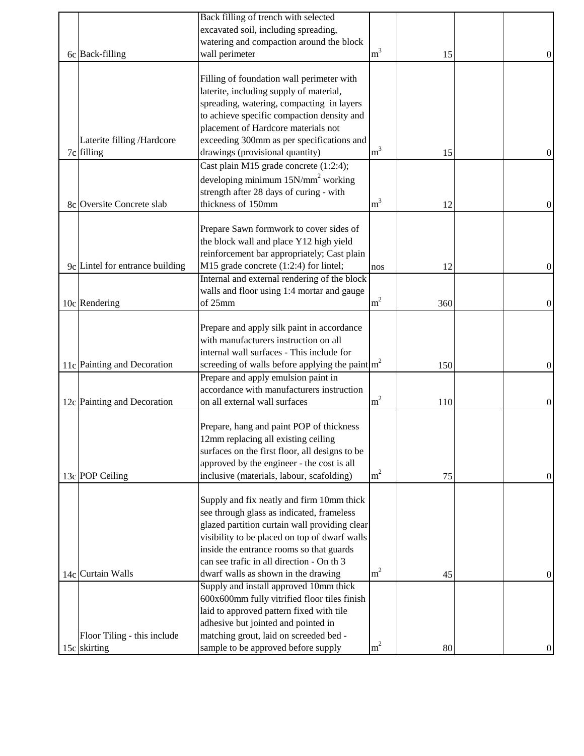| excavated soil, including spreading,<br>watering and compaction around the block<br>m <sup>3</sup><br>wall perimeter<br>6c Back-filling<br>15<br>$\theta$<br>Filling of foundation wall perimeter with<br>laterite, including supply of material,<br>spreading, watering, compacting in layers<br>to achieve specific compaction density and<br>placement of Hardcore materials not<br>exceeding 300mm as per specifications and<br>Laterite filling /Hardcore<br>m <sup>3</sup><br>drawings (provisional quantity)<br>7c filling<br>15<br>$\theta$<br>Cast plain M15 grade concrete (1:2:4);<br>developing minimum $15N/mm^2$ working<br>strength after 28 days of curing - with<br>m <sup>3</sup><br>thickness of 150mm<br>8c Oversite Concrete slab<br>12<br>$\mathbf{0}$<br>Prepare Sawn formwork to cover sides of<br>the block wall and place Y12 high yield<br>reinforcement bar appropriately; Cast plain<br>M15 grade concrete (1:2:4) for lintel;<br>9c Lintel for entrance building<br>12<br>$\theta$<br>nos<br>Internal and external rendering of the block<br>walls and floor using 1:4 mortar and gauge<br>m <sup>2</sup><br>10c Rendering<br>of 25mm<br>360<br>$\boldsymbol{0}$<br>Prepare and apply silk paint in accordance<br>with manufacturers instruction on all<br>internal wall surfaces - This include for<br>screeding of walls before applying the paint $\left  \text{m}^2 \right $<br>11c Painting and Decoration<br>150<br>0<br>Prepare and apply emulsion paint in<br>accordance with manufacturers instruction<br>m <sup>2</sup><br>12c Painting and Decoration<br>on all external wall surfaces<br>110<br>$\theta$<br>Prepare, hang and paint POP of thickness<br>12mm replacing all existing ceiling<br>surfaces on the first floor, all designs to be<br>approved by the engineer - the cost is all<br>m <sup>2</sup> |
|---------------------------------------------------------------------------------------------------------------------------------------------------------------------------------------------------------------------------------------------------------------------------------------------------------------------------------------------------------------------------------------------------------------------------------------------------------------------------------------------------------------------------------------------------------------------------------------------------------------------------------------------------------------------------------------------------------------------------------------------------------------------------------------------------------------------------------------------------------------------------------------------------------------------------------------------------------------------------------------------------------------------------------------------------------------------------------------------------------------------------------------------------------------------------------------------------------------------------------------------------------------------------------------------------------------------------------------------------------------------------------------------------------------------------------------------------------------------------------------------------------------------------------------------------------------------------------------------------------------------------------------------------------------------------------------------------------------------------------------------------------------------------------------------------------------------------------------------------------|
|                                                                                                                                                                                                                                                                                                                                                                                                                                                                                                                                                                                                                                                                                                                                                                                                                                                                                                                                                                                                                                                                                                                                                                                                                                                                                                                                                                                                                                                                                                                                                                                                                                                                                                                                                                                                                                                         |
|                                                                                                                                                                                                                                                                                                                                                                                                                                                                                                                                                                                                                                                                                                                                                                                                                                                                                                                                                                                                                                                                                                                                                                                                                                                                                                                                                                                                                                                                                                                                                                                                                                                                                                                                                                                                                                                         |
|                                                                                                                                                                                                                                                                                                                                                                                                                                                                                                                                                                                                                                                                                                                                                                                                                                                                                                                                                                                                                                                                                                                                                                                                                                                                                                                                                                                                                                                                                                                                                                                                                                                                                                                                                                                                                                                         |
|                                                                                                                                                                                                                                                                                                                                                                                                                                                                                                                                                                                                                                                                                                                                                                                                                                                                                                                                                                                                                                                                                                                                                                                                                                                                                                                                                                                                                                                                                                                                                                                                                                                                                                                                                                                                                                                         |
|                                                                                                                                                                                                                                                                                                                                                                                                                                                                                                                                                                                                                                                                                                                                                                                                                                                                                                                                                                                                                                                                                                                                                                                                                                                                                                                                                                                                                                                                                                                                                                                                                                                                                                                                                                                                                                                         |
|                                                                                                                                                                                                                                                                                                                                                                                                                                                                                                                                                                                                                                                                                                                                                                                                                                                                                                                                                                                                                                                                                                                                                                                                                                                                                                                                                                                                                                                                                                                                                                                                                                                                                                                                                                                                                                                         |
|                                                                                                                                                                                                                                                                                                                                                                                                                                                                                                                                                                                                                                                                                                                                                                                                                                                                                                                                                                                                                                                                                                                                                                                                                                                                                                                                                                                                                                                                                                                                                                                                                                                                                                                                                                                                                                                         |
|                                                                                                                                                                                                                                                                                                                                                                                                                                                                                                                                                                                                                                                                                                                                                                                                                                                                                                                                                                                                                                                                                                                                                                                                                                                                                                                                                                                                                                                                                                                                                                                                                                                                                                                                                                                                                                                         |
|                                                                                                                                                                                                                                                                                                                                                                                                                                                                                                                                                                                                                                                                                                                                                                                                                                                                                                                                                                                                                                                                                                                                                                                                                                                                                                                                                                                                                                                                                                                                                                                                                                                                                                                                                                                                                                                         |
|                                                                                                                                                                                                                                                                                                                                                                                                                                                                                                                                                                                                                                                                                                                                                                                                                                                                                                                                                                                                                                                                                                                                                                                                                                                                                                                                                                                                                                                                                                                                                                                                                                                                                                                                                                                                                                                         |
|                                                                                                                                                                                                                                                                                                                                                                                                                                                                                                                                                                                                                                                                                                                                                                                                                                                                                                                                                                                                                                                                                                                                                                                                                                                                                                                                                                                                                                                                                                                                                                                                                                                                                                                                                                                                                                                         |
|                                                                                                                                                                                                                                                                                                                                                                                                                                                                                                                                                                                                                                                                                                                                                                                                                                                                                                                                                                                                                                                                                                                                                                                                                                                                                                                                                                                                                                                                                                                                                                                                                                                                                                                                                                                                                                                         |
|                                                                                                                                                                                                                                                                                                                                                                                                                                                                                                                                                                                                                                                                                                                                                                                                                                                                                                                                                                                                                                                                                                                                                                                                                                                                                                                                                                                                                                                                                                                                                                                                                                                                                                                                                                                                                                                         |
|                                                                                                                                                                                                                                                                                                                                                                                                                                                                                                                                                                                                                                                                                                                                                                                                                                                                                                                                                                                                                                                                                                                                                                                                                                                                                                                                                                                                                                                                                                                                                                                                                                                                                                                                                                                                                                                         |
|                                                                                                                                                                                                                                                                                                                                                                                                                                                                                                                                                                                                                                                                                                                                                                                                                                                                                                                                                                                                                                                                                                                                                                                                                                                                                                                                                                                                                                                                                                                                                                                                                                                                                                                                                                                                                                                         |
|                                                                                                                                                                                                                                                                                                                                                                                                                                                                                                                                                                                                                                                                                                                                                                                                                                                                                                                                                                                                                                                                                                                                                                                                                                                                                                                                                                                                                                                                                                                                                                                                                                                                                                                                                                                                                                                         |
|                                                                                                                                                                                                                                                                                                                                                                                                                                                                                                                                                                                                                                                                                                                                                                                                                                                                                                                                                                                                                                                                                                                                                                                                                                                                                                                                                                                                                                                                                                                                                                                                                                                                                                                                                                                                                                                         |
|                                                                                                                                                                                                                                                                                                                                                                                                                                                                                                                                                                                                                                                                                                                                                                                                                                                                                                                                                                                                                                                                                                                                                                                                                                                                                                                                                                                                                                                                                                                                                                                                                                                                                                                                                                                                                                                         |
|                                                                                                                                                                                                                                                                                                                                                                                                                                                                                                                                                                                                                                                                                                                                                                                                                                                                                                                                                                                                                                                                                                                                                                                                                                                                                                                                                                                                                                                                                                                                                                                                                                                                                                                                                                                                                                                         |
|                                                                                                                                                                                                                                                                                                                                                                                                                                                                                                                                                                                                                                                                                                                                                                                                                                                                                                                                                                                                                                                                                                                                                                                                                                                                                                                                                                                                                                                                                                                                                                                                                                                                                                                                                                                                                                                         |
|                                                                                                                                                                                                                                                                                                                                                                                                                                                                                                                                                                                                                                                                                                                                                                                                                                                                                                                                                                                                                                                                                                                                                                                                                                                                                                                                                                                                                                                                                                                                                                                                                                                                                                                                                                                                                                                         |
|                                                                                                                                                                                                                                                                                                                                                                                                                                                                                                                                                                                                                                                                                                                                                                                                                                                                                                                                                                                                                                                                                                                                                                                                                                                                                                                                                                                                                                                                                                                                                                                                                                                                                                                                                                                                                                                         |
|                                                                                                                                                                                                                                                                                                                                                                                                                                                                                                                                                                                                                                                                                                                                                                                                                                                                                                                                                                                                                                                                                                                                                                                                                                                                                                                                                                                                                                                                                                                                                                                                                                                                                                                                                                                                                                                         |
|                                                                                                                                                                                                                                                                                                                                                                                                                                                                                                                                                                                                                                                                                                                                                                                                                                                                                                                                                                                                                                                                                                                                                                                                                                                                                                                                                                                                                                                                                                                                                                                                                                                                                                                                                                                                                                                         |
|                                                                                                                                                                                                                                                                                                                                                                                                                                                                                                                                                                                                                                                                                                                                                                                                                                                                                                                                                                                                                                                                                                                                                                                                                                                                                                                                                                                                                                                                                                                                                                                                                                                                                                                                                                                                                                                         |
|                                                                                                                                                                                                                                                                                                                                                                                                                                                                                                                                                                                                                                                                                                                                                                                                                                                                                                                                                                                                                                                                                                                                                                                                                                                                                                                                                                                                                                                                                                                                                                                                                                                                                                                                                                                                                                                         |
|                                                                                                                                                                                                                                                                                                                                                                                                                                                                                                                                                                                                                                                                                                                                                                                                                                                                                                                                                                                                                                                                                                                                                                                                                                                                                                                                                                                                                                                                                                                                                                                                                                                                                                                                                                                                                                                         |
|                                                                                                                                                                                                                                                                                                                                                                                                                                                                                                                                                                                                                                                                                                                                                                                                                                                                                                                                                                                                                                                                                                                                                                                                                                                                                                                                                                                                                                                                                                                                                                                                                                                                                                                                                                                                                                                         |
|                                                                                                                                                                                                                                                                                                                                                                                                                                                                                                                                                                                                                                                                                                                                                                                                                                                                                                                                                                                                                                                                                                                                                                                                                                                                                                                                                                                                                                                                                                                                                                                                                                                                                                                                                                                                                                                         |
|                                                                                                                                                                                                                                                                                                                                                                                                                                                                                                                                                                                                                                                                                                                                                                                                                                                                                                                                                                                                                                                                                                                                                                                                                                                                                                                                                                                                                                                                                                                                                                                                                                                                                                                                                                                                                                                         |
|                                                                                                                                                                                                                                                                                                                                                                                                                                                                                                                                                                                                                                                                                                                                                                                                                                                                                                                                                                                                                                                                                                                                                                                                                                                                                                                                                                                                                                                                                                                                                                                                                                                                                                                                                                                                                                                         |
|                                                                                                                                                                                                                                                                                                                                                                                                                                                                                                                                                                                                                                                                                                                                                                                                                                                                                                                                                                                                                                                                                                                                                                                                                                                                                                                                                                                                                                                                                                                                                                                                                                                                                                                                                                                                                                                         |
|                                                                                                                                                                                                                                                                                                                                                                                                                                                                                                                                                                                                                                                                                                                                                                                                                                                                                                                                                                                                                                                                                                                                                                                                                                                                                                                                                                                                                                                                                                                                                                                                                                                                                                                                                                                                                                                         |
|                                                                                                                                                                                                                                                                                                                                                                                                                                                                                                                                                                                                                                                                                                                                                                                                                                                                                                                                                                                                                                                                                                                                                                                                                                                                                                                                                                                                                                                                                                                                                                                                                                                                                                                                                                                                                                                         |
|                                                                                                                                                                                                                                                                                                                                                                                                                                                                                                                                                                                                                                                                                                                                                                                                                                                                                                                                                                                                                                                                                                                                                                                                                                                                                                                                                                                                                                                                                                                                                                                                                                                                                                                                                                                                                                                         |
|                                                                                                                                                                                                                                                                                                                                                                                                                                                                                                                                                                                                                                                                                                                                                                                                                                                                                                                                                                                                                                                                                                                                                                                                                                                                                                                                                                                                                                                                                                                                                                                                                                                                                                                                                                                                                                                         |
|                                                                                                                                                                                                                                                                                                                                                                                                                                                                                                                                                                                                                                                                                                                                                                                                                                                                                                                                                                                                                                                                                                                                                                                                                                                                                                                                                                                                                                                                                                                                                                                                                                                                                                                                                                                                                                                         |
| inclusive (materials, labour, scafolding)<br>13c POP Ceiling<br>75<br>$\boldsymbol{0}$                                                                                                                                                                                                                                                                                                                                                                                                                                                                                                                                                                                                                                                                                                                                                                                                                                                                                                                                                                                                                                                                                                                                                                                                                                                                                                                                                                                                                                                                                                                                                                                                                                                                                                                                                                  |
|                                                                                                                                                                                                                                                                                                                                                                                                                                                                                                                                                                                                                                                                                                                                                                                                                                                                                                                                                                                                                                                                                                                                                                                                                                                                                                                                                                                                                                                                                                                                                                                                                                                                                                                                                                                                                                                         |
| Supply and fix neatly and firm 10mm thick                                                                                                                                                                                                                                                                                                                                                                                                                                                                                                                                                                                                                                                                                                                                                                                                                                                                                                                                                                                                                                                                                                                                                                                                                                                                                                                                                                                                                                                                                                                                                                                                                                                                                                                                                                                                               |
| see through glass as indicated, frameless                                                                                                                                                                                                                                                                                                                                                                                                                                                                                                                                                                                                                                                                                                                                                                                                                                                                                                                                                                                                                                                                                                                                                                                                                                                                                                                                                                                                                                                                                                                                                                                                                                                                                                                                                                                                               |
| glazed partition curtain wall providing clear                                                                                                                                                                                                                                                                                                                                                                                                                                                                                                                                                                                                                                                                                                                                                                                                                                                                                                                                                                                                                                                                                                                                                                                                                                                                                                                                                                                                                                                                                                                                                                                                                                                                                                                                                                                                           |
| visibility to be placed on top of dwarf walls                                                                                                                                                                                                                                                                                                                                                                                                                                                                                                                                                                                                                                                                                                                                                                                                                                                                                                                                                                                                                                                                                                                                                                                                                                                                                                                                                                                                                                                                                                                                                                                                                                                                                                                                                                                                           |
| inside the entrance rooms so that guards                                                                                                                                                                                                                                                                                                                                                                                                                                                                                                                                                                                                                                                                                                                                                                                                                                                                                                                                                                                                                                                                                                                                                                                                                                                                                                                                                                                                                                                                                                                                                                                                                                                                                                                                                                                                                |
| can see trafic in all direction - On th 3                                                                                                                                                                                                                                                                                                                                                                                                                                                                                                                                                                                                                                                                                                                                                                                                                                                                                                                                                                                                                                                                                                                                                                                                                                                                                                                                                                                                                                                                                                                                                                                                                                                                                                                                                                                                               |
| m <sup>2</sup><br>14c Curtain Walls<br>dwarf walls as shown in the drawing<br>45<br>0                                                                                                                                                                                                                                                                                                                                                                                                                                                                                                                                                                                                                                                                                                                                                                                                                                                                                                                                                                                                                                                                                                                                                                                                                                                                                                                                                                                                                                                                                                                                                                                                                                                                                                                                                                   |
| Supply and install approved 10mm thick                                                                                                                                                                                                                                                                                                                                                                                                                                                                                                                                                                                                                                                                                                                                                                                                                                                                                                                                                                                                                                                                                                                                                                                                                                                                                                                                                                                                                                                                                                                                                                                                                                                                                                                                                                                                                  |
| 600x600mm fully vitrified floor tiles finish                                                                                                                                                                                                                                                                                                                                                                                                                                                                                                                                                                                                                                                                                                                                                                                                                                                                                                                                                                                                                                                                                                                                                                                                                                                                                                                                                                                                                                                                                                                                                                                                                                                                                                                                                                                                            |
| laid to approved pattern fixed with tile                                                                                                                                                                                                                                                                                                                                                                                                                                                                                                                                                                                                                                                                                                                                                                                                                                                                                                                                                                                                                                                                                                                                                                                                                                                                                                                                                                                                                                                                                                                                                                                                                                                                                                                                                                                                                |
| adhesive but jointed and pointed in                                                                                                                                                                                                                                                                                                                                                                                                                                                                                                                                                                                                                                                                                                                                                                                                                                                                                                                                                                                                                                                                                                                                                                                                                                                                                                                                                                                                                                                                                                                                                                                                                                                                                                                                                                                                                     |
| matching grout, laid on screeded bed -<br>Floor Tiling - this include                                                                                                                                                                                                                                                                                                                                                                                                                                                                                                                                                                                                                                                                                                                                                                                                                                                                                                                                                                                                                                                                                                                                                                                                                                                                                                                                                                                                                                                                                                                                                                                                                                                                                                                                                                                   |
| m <sup>2</sup><br>sample to be approved before supply<br>15c skirting<br>80<br>$\theta$                                                                                                                                                                                                                                                                                                                                                                                                                                                                                                                                                                                                                                                                                                                                                                                                                                                                                                                                                                                                                                                                                                                                                                                                                                                                                                                                                                                                                                                                                                                                                                                                                                                                                                                                                                 |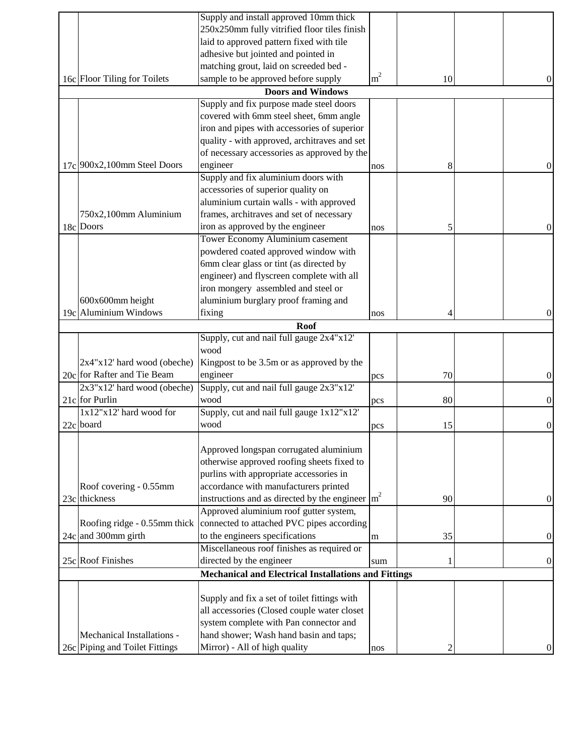|                                | Supply and install approved 10mm thick                         |                |    |                  |
|--------------------------------|----------------------------------------------------------------|----------------|----|------------------|
|                                | 250x250mm fully vitrified floor tiles finish                   |                |    |                  |
|                                | laid to approved pattern fixed with tile                       |                |    |                  |
|                                | adhesive but jointed and pointed in                            |                |    |                  |
|                                | matching grout, laid on screeded bed -                         |                |    |                  |
| 16c Floor Tiling for Toilets   | sample to be approved before supply                            | m <sup>2</sup> | 10 | 0                |
|                                | <b>Doors and Windows</b>                                       |                |    |                  |
|                                | Supply and fix purpose made steel doors                        |                |    |                  |
|                                | covered with 6mm steel sheet, 6mm angle                        |                |    |                  |
|                                | iron and pipes with accessories of superior                    |                |    |                  |
|                                | quality - with approved, architraves and set                   |                |    |                  |
|                                | of necessary accessories as approved by the                    |                |    |                  |
| 17c 900x2,100mm Steel Doors    | engineer                                                       | nos            | 8  | 0                |
|                                | Supply and fix aluminium doors with                            |                |    |                  |
|                                | accessories of superior quality on                             |                |    |                  |
|                                | aluminium curtain walls - with approved                        |                |    |                  |
| 750x2,100mm Aluminium          | frames, architraves and set of necessary                       |                |    |                  |
| 18c Doors                      | iron as approved by the engineer                               |                |    |                  |
|                                | Tower Economy Aluminium casement                               | nos            | 5  | $\boldsymbol{0}$ |
|                                |                                                                |                |    |                  |
|                                | powdered coated approved window with                           |                |    |                  |
|                                | 6mm clear glass or tint (as directed by                        |                |    |                  |
|                                | engineer) and flyscreen complete with all                      |                |    |                  |
|                                | iron mongery assembled and steel or                            |                |    |                  |
| 600x600mm height               | aluminium burglary proof framing and                           |                |    |                  |
| 19c Aluminium Windows          | fixing                                                         | nos            |    | 0                |
|                                | <b>Roof</b>                                                    |                |    |                  |
|                                | Supply, cut and nail full gauge 2x4"x12"                       |                |    |                  |
|                                | wood                                                           |                |    |                  |
| $2x4''x12'$ hard wood (obeche) | Kingpost to be 3.5m or as approved by the                      |                |    |                  |
| 20c for Rafter and Tie Beam    | engineer                                                       | pcs            | 70 | 0                |
| $2x3''x12'$ hard wood (obeche) | Supply, cut and nail full gauge 2x3"x12"                       |                |    |                  |
| 21c for Purlin                 | wood                                                           | pcs            | 80 | $\mathbf{0}$     |
| 1x12"x12' hard wood for        | Supply, cut and nail full gauge 1x12"x12"                      |                |    |                  |
| 22c board                      | wood                                                           | pcs            | 15 | 0                |
|                                |                                                                |                |    |                  |
|                                | Approved longspan corrugated aluminium                         |                |    |                  |
|                                | otherwise approved roofing sheets fixed to                     |                |    |                  |
|                                | purlins with appropriate accessories in                        |                |    |                  |
| Roof covering - 0.55mm         | accordance with manufacturers printed                          |                |    |                  |
| 23c thickness                  | instructions and as directed by the engineer $\vert m^2 \vert$ |                | 90 | 0                |
|                                | Approved aluminium roof gutter system,                         |                |    |                  |
| Roofing ridge - 0.55mm thick   | connected to attached PVC pipes according                      |                |    |                  |
| 24c and 300mm girth            | to the engineers specifications                                | m              | 35 | $\boldsymbol{0}$ |
|                                | Miscellaneous roof finishes as required or                     |                |    |                  |
| 25c Roof Finishes              | directed by the engineer                                       | sum            |    | 0                |
|                                | <b>Mechanical and Electrical Installations and Fittings</b>    |                |    |                  |
|                                |                                                                |                |    |                  |
|                                | Supply and fix a set of toilet fittings with                   |                |    |                  |
|                                | all accessories (Closed couple water closet                    |                |    |                  |
|                                | system complete with Pan connector and                         |                |    |                  |
| Mechanical Installations -     | hand shower; Wash hand basin and taps;                         |                |    |                  |
| 26c Piping and Toilet Fittings | Mirror) - All of high quality                                  | nos            |    | $\Omega$         |
|                                |                                                                |                |    |                  |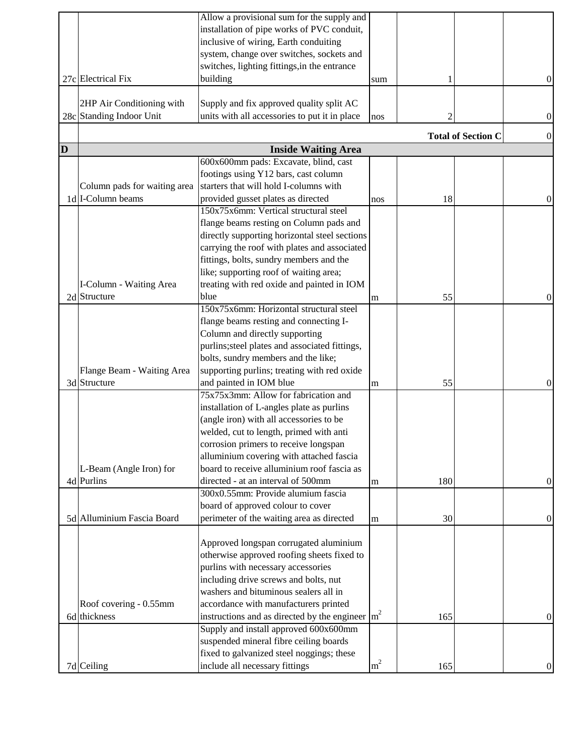|   |                              | Allow a provisional sum for the supply and                               |                |     |                           |                  |
|---|------------------------------|--------------------------------------------------------------------------|----------------|-----|---------------------------|------------------|
|   |                              | installation of pipe works of PVC conduit,                               |                |     |                           |                  |
|   |                              | inclusive of wiring, Earth conduiting                                    |                |     |                           |                  |
|   |                              | system, change over switches, sockets and                                |                |     |                           |                  |
|   |                              | switches, lighting fittings, in the entrance                             |                |     |                           |                  |
|   | 27c Electrical Fix           | building                                                                 | sum            |     |                           | $\theta$         |
|   |                              |                                                                          |                |     |                           |                  |
|   | 2HP Air Conditioning with    | Supply and fix approved quality split AC                                 |                |     |                           |                  |
|   | 28c Standing Indoor Unit     | units with all accessories to put it in place                            | nos            |     |                           | $\boldsymbol{0}$ |
|   |                              |                                                                          |                |     |                           |                  |
|   |                              |                                                                          |                |     | <b>Total of Section C</b> | $\theta$         |
| D |                              | <b>Inside Waiting Area</b>                                               |                |     |                           |                  |
|   |                              | 600x600mm pads: Excavate, blind, cast                                    |                |     |                           |                  |
|   |                              | footings using Y12 bars, cast column                                     |                |     |                           |                  |
|   | Column pads for waiting area | starters that will hold I-columns with                                   |                |     |                           |                  |
|   | 1d I-Column beams            | provided gusset plates as directed                                       | nos            | 18  |                           | $\theta$         |
|   |                              | 150x75x6mm: Vertical structural steel                                    |                |     |                           |                  |
|   |                              | flange beams resting on Column pads and                                  |                |     |                           |                  |
|   |                              | directly supporting horizontal steel sections                            |                |     |                           |                  |
|   |                              | carrying the roof with plates and associated                             |                |     |                           |                  |
|   |                              | fittings, bolts, sundry members and the                                  |                |     |                           |                  |
|   |                              | like; supporting roof of waiting area;                                   |                |     |                           |                  |
|   | I-Column - Waiting Area      | treating with red oxide and painted in IOM                               |                |     |                           |                  |
|   | 2d Structure                 | blue                                                                     | m              | 55  |                           | 0                |
|   |                              | 150x75x6mm: Horizontal structural steel                                  |                |     |                           |                  |
|   |                              | flange beams resting and connecting I-                                   |                |     |                           |                  |
|   |                              | Column and directly supporting                                           |                |     |                           |                  |
|   |                              | purlins; steel plates and associated fittings,                           |                |     |                           |                  |
|   |                              | bolts, sundry members and the like;                                      |                |     |                           |                  |
|   | Flange Beam - Waiting Area   | supporting purlins; treating with red oxide                              |                |     |                           |                  |
|   | 3d Structure                 | and painted in IOM blue                                                  | m              | 55  |                           | 0                |
|   |                              | 75x75x3mm: Allow for fabrication and                                     |                |     |                           |                  |
|   |                              |                                                                          |                |     |                           |                  |
|   |                              | installation of L-angles plate as purlins                                |                |     |                           |                  |
|   |                              | (angle iron) with all accessories to be                                  |                |     |                           |                  |
|   |                              | welded, cut to length, primed with anti                                  |                |     |                           |                  |
|   |                              | corrosion primers to receive longspan                                    |                |     |                           |                  |
|   |                              | alluminium covering with attached fascia                                 |                |     |                           |                  |
|   | L-Beam (Angle Iron) for      | board to receive alluminium roof fascia as                               |                |     |                           |                  |
|   | 4d Purlins                   | directed - at an interval of 500mm                                       | m              | 180 |                           | $\boldsymbol{0}$ |
|   |                              | 300x0.55mm: Provide alumium fascia                                       |                |     |                           |                  |
|   |                              | board of approved colour to cover                                        |                |     |                           |                  |
|   | 5d Alluminium Fascia Board   | perimeter of the waiting area as directed                                | ${\bf m}$      | 30  |                           | $\boldsymbol{0}$ |
|   |                              |                                                                          |                |     |                           |                  |
|   |                              | Approved longspan corrugated aluminium                                   |                |     |                           |                  |
|   |                              | otherwise approved roofing sheets fixed to                               |                |     |                           |                  |
|   |                              | purlins with necessary accessories                                       |                |     |                           |                  |
|   |                              | including drive screws and bolts, nut                                    |                |     |                           |                  |
|   |                              | washers and bituminous sealers all in                                    |                |     |                           |                  |
|   | Roof covering - 0.55mm       | accordance with manufacturers printed                                    |                |     |                           |                  |
|   | 6d thickness                 | instructions and as directed by the engineer $\left  \text{m}^2 \right $ |                | 165 |                           | $\theta$         |
|   |                              | Supply and install approved 600x600mm                                    |                |     |                           |                  |
|   |                              | suspended mineral fibre ceiling boards                                   |                |     |                           |                  |
|   |                              | fixed to galvanized steel noggings; these                                |                |     |                           |                  |
|   | 7d Ceiling                   | include all necessary fittings                                           | m <sup>2</sup> | 165 |                           | $\mathbf{0}$     |
|   |                              |                                                                          |                |     |                           |                  |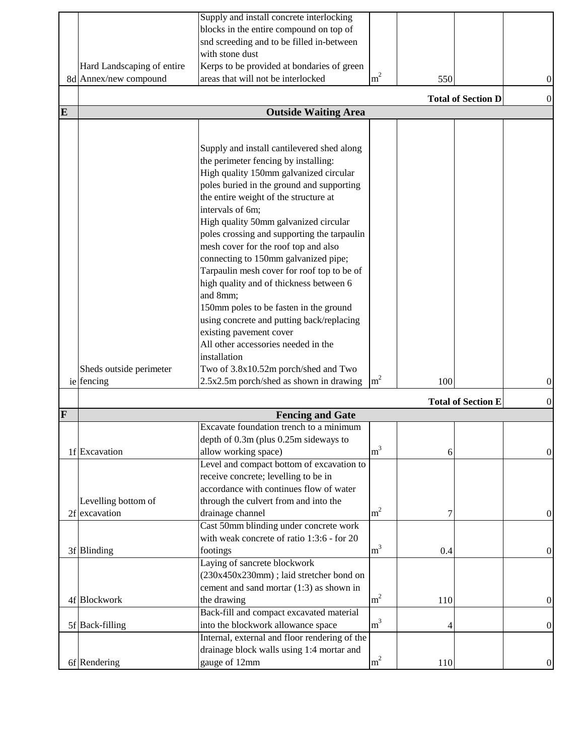|         |                            | Supply and install concrete interlocking      |                |     |                           |                  |
|---------|----------------------------|-----------------------------------------------|----------------|-----|---------------------------|------------------|
|         |                            | blocks in the entire compound on top of       |                |     |                           |                  |
|         |                            | snd screeding and to be filled in-between     |                |     |                           |                  |
|         |                            | with stone dust                               |                |     |                           |                  |
|         | Hard Landscaping of entire | Kerps to be provided at bondaries of green    |                |     |                           |                  |
|         | 8d Annex/new compound      | areas that will not be interlocked            | m <sup>2</sup> | 550 |                           | $\boldsymbol{0}$ |
|         |                            |                                               |                |     | <b>Total of Section D</b> | $\overline{0}$   |
| E       |                            | <b>Outside Waiting Area</b>                   |                |     |                           |                  |
|         |                            |                                               |                |     |                           |                  |
|         |                            |                                               |                |     |                           |                  |
|         |                            | Supply and install cantilevered shed along    |                |     |                           |                  |
|         |                            | the perimeter fencing by installing:          |                |     |                           |                  |
|         |                            | High quality 150mm galvanized circular        |                |     |                           |                  |
|         |                            | poles buried in the ground and supporting     |                |     |                           |                  |
|         |                            | the entire weight of the structure at         |                |     |                           |                  |
|         |                            | intervals of 6m;                              |                |     |                           |                  |
|         |                            | High quality 50mm galvanized circular         |                |     |                           |                  |
|         |                            | poles crossing and supporting the tarpaulin   |                |     |                           |                  |
|         |                            | mesh cover for the roof top and also          |                |     |                           |                  |
|         |                            | connecting to 150mm galvanized pipe;          |                |     |                           |                  |
|         |                            | Tarpaulin mesh cover for roof top to be of    |                |     |                           |                  |
|         |                            | high quality and of thickness between 6       |                |     |                           |                  |
|         |                            | and 8mm;                                      |                |     |                           |                  |
|         |                            | 150mm poles to be fasten in the ground        |                |     |                           |                  |
|         |                            | using concrete and putting back/replacing     |                |     |                           |                  |
|         |                            | existing pavement cover                       |                |     |                           |                  |
|         |                            | All other accessories needed in the           |                |     |                           |                  |
|         |                            | installation                                  |                |     |                           |                  |
|         | Sheds outside perimeter    | Two of 3.8x10.52m porch/shed and Two          |                |     |                           |                  |
|         | ie fencing                 | 2.5x2.5m porch/shed as shown in drawing       | m <sup>2</sup> | 100 |                           | $\boldsymbol{0}$ |
|         |                            |                                               |                |     | <b>Total of Section E</b> | 0                |
| $\bf F$ |                            | <b>Fencing and Gate</b>                       |                |     |                           |                  |
|         |                            | Excavate foundation trench to a minimum       |                |     |                           |                  |
|         |                            | depth of 0.3m (plus 0.25m sideways to         |                |     |                           |                  |
|         | 1f Excavation              | allow working space)                          | m <sup>3</sup> | 6   |                           | $\theta$         |
|         |                            | Level and compact bottom of excavation to     |                |     |                           |                  |
|         |                            | receive concrete; levelling to be in          |                |     |                           |                  |
|         |                            | accordance with continues flow of water       |                |     |                           |                  |
|         | Levelling bottom of        | through the culvert from and into the         |                |     |                           |                  |
|         | 2f excavation              | drainage channel                              | m <sup>2</sup> |     |                           | $\boldsymbol{0}$ |
|         |                            | Cast 50mm blinding under concrete work        |                |     |                           |                  |
|         |                            | with weak concrete of ratio 1:3:6 - for 20    |                |     |                           |                  |
|         | 3f Blinding                | footings                                      | m <sup>3</sup> | 0.4 |                           | $\boldsymbol{0}$ |
|         |                            | Laying of sancrete blockwork                  |                |     |                           |                  |
|         |                            | (230x450x230mm); laid stretcher bond on       |                |     |                           |                  |
|         |                            | cement and sand mortar (1:3) as shown in      |                |     |                           |                  |
|         | 4f Blockwork               | the drawing                                   | $\rm m^2$      | 110 |                           | $\boldsymbol{0}$ |
|         |                            | Back-fill and compact excavated material      |                |     |                           |                  |
|         | 5f Back-filling            | into the blockwork allowance space            | m <sup>3</sup> | 4   |                           | $\theta$         |
|         |                            | Internal, external and floor rendering of the |                |     |                           |                  |
|         |                            | drainage block walls using 1:4 mortar and     |                |     |                           |                  |
|         | 6f Rendering               | gauge of 12mm                                 | m <sup>2</sup> | 110 |                           | $\boldsymbol{0}$ |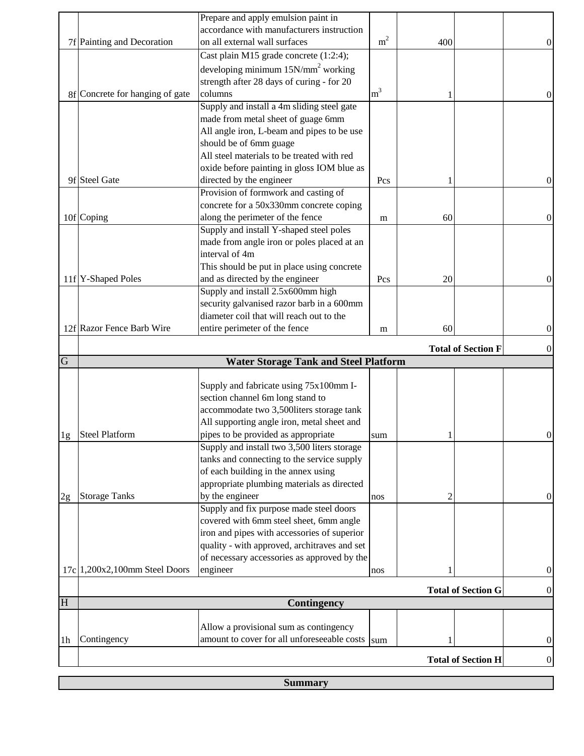|                |                                 | Prepare and apply emulsion paint in                                                   |                |     |                           |                  |
|----------------|---------------------------------|---------------------------------------------------------------------------------------|----------------|-----|---------------------------|------------------|
|                |                                 | accordance with manufacturers instruction                                             |                |     |                           |                  |
|                | 7f Painting and Decoration      | on all external wall surfaces                                                         | m <sup>2</sup> | 400 |                           | $\boldsymbol{0}$ |
|                |                                 | Cast plain M15 grade concrete (1:2:4);                                                |                |     |                           |                  |
|                |                                 | developing minimum $15N/mm^2$ working                                                 |                |     |                           |                  |
|                |                                 | strength after 28 days of curing - for 20                                             |                |     |                           |                  |
|                | 8f Concrete for hanging of gate | columns                                                                               | m <sup>3</sup> |     |                           | 0                |
|                |                                 | Supply and install a 4m sliding steel gate                                            |                |     |                           |                  |
|                |                                 | made from metal sheet of guage 6mm                                                    |                |     |                           |                  |
|                |                                 | All angle iron, L-beam and pipes to be use                                            |                |     |                           |                  |
|                |                                 | should be of 6mm guage                                                                |                |     |                           |                  |
|                |                                 | All steel materials to be treated with red                                            |                |     |                           |                  |
|                |                                 | oxide before painting in gloss IOM blue as                                            |                |     |                           |                  |
|                | 9f Steel Gate                   | directed by the engineer                                                              | Pcs            |     |                           | $\mathbf{0}$     |
|                |                                 | Provision of formwork and casting of                                                  |                |     |                           |                  |
|                |                                 | concrete for a 50x330mm concrete coping                                               |                |     |                           |                  |
|                | 10f Coping                      | along the perimeter of the fence                                                      | m              | 60  |                           | $\boldsymbol{0}$ |
|                |                                 | Supply and install Y-shaped steel poles                                               |                |     |                           |                  |
|                |                                 | made from angle iron or poles placed at an                                            |                |     |                           |                  |
|                |                                 | interval of 4m                                                                        |                |     |                           |                  |
|                |                                 | This should be put in place using concrete                                            |                |     |                           |                  |
|                | 11f Y-Shaped Poles              | and as directed by the engineer                                                       | Pcs            | 20  |                           | $\theta$         |
|                |                                 | Supply and install 2.5x600mm high                                                     |                |     |                           |                  |
|                |                                 | security galvanised razor barb in a 600mm                                             |                |     |                           |                  |
|                |                                 | diameter coil that will reach out to the                                              |                |     |                           |                  |
|                | 12f Razor Fence Barb Wire       | entire perimeter of the fence                                                         | m              | 60  |                           | $\boldsymbol{0}$ |
|                |                                 |                                                                                       |                |     |                           |                  |
|                |                                 |                                                                                       |                |     |                           |                  |
|                |                                 |                                                                                       |                |     | <b>Total of Section F</b> | $\theta$         |
| $\overline{G}$ |                                 | <b>Water Storage Tank and Steel Platform</b>                                          |                |     |                           |                  |
|                |                                 |                                                                                       |                |     |                           |                  |
|                |                                 | Supply and fabricate using 75x100mm I-                                                |                |     |                           |                  |
|                |                                 | section channel 6m long stand to                                                      |                |     |                           |                  |
|                |                                 | accommodate two 3,500liters storage tank                                              |                |     |                           |                  |
|                |                                 | All supporting angle iron, metal sheet and                                            |                |     |                           |                  |
| 1g             | <b>Steel Platform</b>           | pipes to be provided as appropriate                                                   | sum            |     |                           | 0                |
|                |                                 | Supply and install two 3,500 liters storage                                           |                |     |                           |                  |
|                |                                 | tanks and connecting to the service supply                                            |                |     |                           |                  |
|                |                                 | of each building in the annex using                                                   |                |     |                           |                  |
|                |                                 | appropriate plumbing materials as directed                                            |                |     |                           |                  |
| 2g             | <b>Storage Tanks</b>            | by the engineer                                                                       | nos            | 2   |                           | $\boldsymbol{0}$ |
|                |                                 | Supply and fix purpose made steel doors                                               |                |     |                           |                  |
|                |                                 | covered with 6mm steel sheet, 6mm angle                                               |                |     |                           |                  |
|                |                                 | iron and pipes with accessories of superior                                           |                |     |                           |                  |
|                |                                 | quality - with approved, architraves and set                                          |                |     |                           |                  |
|                |                                 | of necessary accessories as approved by the                                           | nos            |     |                           | 0                |
|                | 17c 1,200x2,100mm Steel Doors   | engineer                                                                              |                |     |                           |                  |
|                |                                 |                                                                                       |                |     | <b>Total of Section G</b> | $\boldsymbol{0}$ |
| H              |                                 | Contingency                                                                           |                |     |                           |                  |
|                |                                 |                                                                                       |                |     |                           |                  |
|                |                                 | Allow a provisional sum as contingency<br>amount to cover for all unforeseeable costs | sum            |     |                           | $\boldsymbol{0}$ |
| 1 <sub>h</sub> | Contingency                     |                                                                                       |                |     | <b>Total of Section H</b> | $\boldsymbol{0}$ |

**Summary**